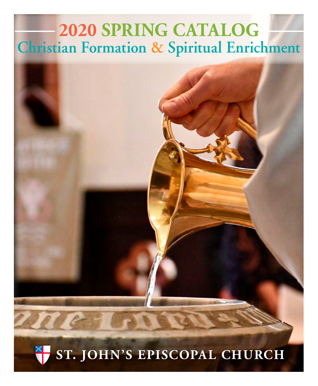# **2020 SPRING CATALOG Christian Formation & Spiritual Enrichment**

# **ST. JOHN'S EPISCOPAL CHURCH**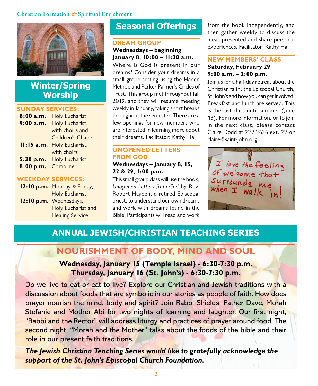

# **Winter/Spring Worship**

#### **SUNDAY SERVICES:**

| 8:00a.m.     | <b>Holy Eucharist</b>    |
|--------------|--------------------------|
| 9:00 a.m.    | Holy Eucharist,          |
|              | with choirs and          |
|              | Children's Chapel        |
| $11:15$ a.m. | Holy Eucharist,          |
|              | with choirs              |
|              | 5:30 p.m. Holy Eucharist |
| 8:00 p.m.    | Compline                 |
|              |                          |

### **WEEKDAY SERVICES:**

**12:10 p.m.** Monday & Friday, Holy Eucharist **12:10 p.m.** Wednesdays, Holy Eucharist and Healing Service

# **Seasonal Offerings**

#### **DREAM GROUP Wednesdays – beginning January 8, 10:00 – 11:30 a.m.**

Where is God is present in our dreams? Consider your dreams in a small group setting using the Haden Method and Parker Palmer's Circles of Trust. This group met throughout fall 2019, and they will resume meeting weekly in January, taking short breaks throughout the semester. There are a few openings for new members who are interested in learning more about their dreams. Facilitator: Kathy Hall

### **UNOPENED LETTERS FROM GOD Wednesdays – January 8, 15, 22 & 29, 1:00 p.m.**

This small group class will use the book, Unopened Letters from God by Rev. Robert Hayden, a retired Episcopal priest, to understand our own dreams and work with dreams found in the Bible. Participants will read and work from the book independently, and then gather weekly to discuss the ideas presented and share personal experiences. Facilitator: Kathy Hall

#### **NEW MEMBERS' CLASS Saturday, February 29 9:00 a.m. – 2:00 p.m.**

Join us for a half-day retreat about the Christian faith, the Episcopal Church, St. John's and how you can get involved. Breakfast and lunch are served. This is the last class until summer (June 13). For more information, or to join in the next class, please contact Claire Dodd at 222.2636 ext. 22 or claire@saint-john.org.



# **ANNUAL JEWISH/CHRISTIAN TEACHING SERIES**

# **NOURISHMENT OF BODY, MIND AND SOUL**

# **Wednesday, January 15 (Temple Israel) - 6:30-7:30 p.m. Thursday, January 16 (St. John's) - 6:30-7:30 p.m.**

Do we live to eat or eat to live? Explore our Christian and Jewish traditions with a discussion about foods that are symbolic in our stories as people of faith. How does prayer nourish the mind, body and spirit? Join Rabbi Shields, Father Dave, Morah Stefanie and Mother Abi for two nights of learning and laughter. Our first night, "Rabbi and the Rector" will address liturgy and practices of prayer around food. The second night, "Morah and the Mother" talks about the foods of the bible and their role in our present faith traditions.

**The Jewish Christian Teaching Series would like to gratefully acknowledge the support of the St. John's Episcopal Church Foundation.**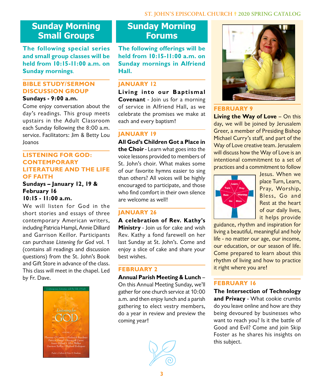## **ST. JOHN'S EPISCOPAL CHURCH 2020 SPRING CATALOG**

# **Sunday Morning Small Groups**

**The following special series and small group classes will be held from 10:15-11:00 a.m. on Sunday mornings**.

# **BIBLE STUDY/SERMON DISCUSSION GROUP**

**Sundays - 9:00 a.m.**

Come enjoy conversation about the day's readings. This group meets upstairs in the Adult Classroom each Sunday following the 8:00 a.m. service. Facilitators: Jim & Betty Lou Joanos

#### **LISTENING FOR GOD: CONTEMPORARY LITERATURE AND THE LIFE OF FAITH**

#### **Sundays – January 12, 19 & February 16 10:15 - 11:00 a.m.**

We will listen for God in the short stories and essays of three contemporary American writers, including Patricia Hampl, Annie Dilliard and Garrison Keillor. Participants can purchase Listening for God vol. 1 (contains all readings and discussion questions) from the St. John's Book and Gift Store in advance of the class. This class will meet in the chapel. Led by Fr. Dave.



# **Sunday Morning Forums**

**The following offerings will be held from 10:15-11:00 a.m. on Sunday mornings in Alfriend Hall.**

# **JANUARY 12**

**Living into our Baptismal Covenant** - Join us for a morning of service in Alfriend Hall, as we celebrate the promises we make at each and every baptism!

#### **JANUARY 19**

**All God's Children Got a Place in the Choir** - Learn what goes into the voice lessons provided to members of St. John's choir. What makes some of our favorite hymns easier to sing than others? All voices will be highly encouraged to participate, and those who find comfort in their own silence are welcome as well!

# **JANUARY 26**

**A celebration of Rev. Kathy's Ministry** - Join us for cake and wish Rev. Kathy a fond farewell on her last Sunday at St. John's. Come and enjoy a slice of cake and share your best wishes.

# **FEBRUARY 2**

**Annual Parish Meeting & Lunch** – On this Annual Meeting Sunday, we'll gather for one church service at 10:00 a.m. and then enjoy lunch and a parish gathering to elect vestry members, do a year in review and preview the coming year!





### **FEBRUARY 9**

**Living the Way of Love** – On this day, we will be joined by Jerusalem Greer, a member of Presiding Bishop Michael Curry's staff, and part of the Way of Love creative team. Jerusalem will discuss how the Way of Love is an intentional commitment to a set of practices and a commitment to follow



Jesus. When we place Turn, Learn, Pray, Worship, Bless, Go and Rest at the heart of our daily lives, it helps provide

guidance, rhythm and inspiration for living a beautiful, meaningful and holy life - no matter our age, our income, our education, or our season of life. Come prepared to learn about this rhythm of living and how to practice it right where you are!

# **FEBRUARY 16**

**The Intersection of Technology and Privacy** - What cookie crumbs do you leave online and how are they being devoured by businesses who want to reach you? Is it the battle of Good and Evil? Come and join Skip Foster as he shares his insights on this subject.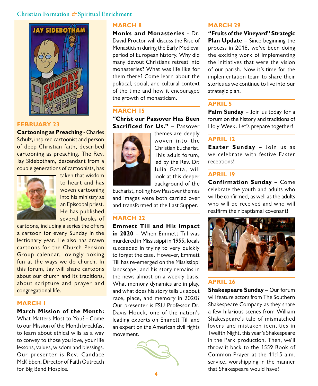

#### **FEBRUARY 23**

**Cartooning as Preaching** - Charles Schulz, inspired cartoonist and person of deep Christian faith, described cartooning as preaching. The Rev. Jay Sidebotham, descendant from a couple generations of cartoonists, has



taken that wisdom to heart and has woven cartooning into his ministry as an Episcopal priest. He has published several books of

cartoons, including a series the offers a cartoon for every Sunday in the lectionary year. He also has drawn cartoons for the Church Pension Group calendar, lovingly poking fun at the ways we do church. In this forum, Jay will share cartoons about our church and its traditions, about scripture and prayer and congregational life.

#### **MARCH 1**

**March Mission of the Month:** 

What Matters Most to You? - Come to our Mission of the Month breakfast to learn about ethical wills as a way to convey to those you love, your life lessons, values, wisdom and blessings. Our presenter is Rev. Candace McKibben, Director of Faith Outreach for Big Bend Hospice.

#### **MARCH 8**

**Monks and Monasteries** - Dr. David Proctor will discuss the Rise of Monasticism during the Early Medieval period of European history. Why did many devout Christians retreat into monasteries? What was life like for them there? Come learn about the political, social, and cultural context of the time and how it encouraged the growth of monasticism.

#### **MARCH 15**

**"Christ our Passover Has Been Sacrificed for Us."** – Passover



themes are deeply woven into the Christian Eucharist. This adult forum, led by the Rev. Dr. Julia Gatta, will look at this deeper background of the

Eucharist, noting how Passover themes and images were both carried over and transformed at the Last Supper.

#### **MARCH 22**

**Emmett Till and His Impact in 2020** – When Emmett Till was murdered in Mississippi in 1955, locals succeeded in trying to very quickly to forget the case. However, Emmett Till has re-emerged on the Mississippi landscape, and his story remains in the news almost on a weekly basis. What memory dynamics are in play, and what does his story tells us about race, place, and memory in 2020? Our presenter is FSU Professor Dr. Davis Houck, one of the nation's leading experts on Emmett Till and an expert on the American civil rights movement.



#### **MARCH 29**

**"Fruits of the Vineyard" Strategic Plan Update** – Since beginning the process in 2018, we've been doing the exciting work of implementing the initiatives that were the vision of our parish. Now it's time for the implementation team to share their stories as we continue to live into our strategic plan.

#### **APRIL 5**

**Palm Sunday** – Join us today for a forum on the history and traditions of Holy Week. Let's prepare together!

# **APRIL 12**

**Easter Sunday** – Join us as we celebrate with festive Easter receptions!

#### **APRIL 19**

**Confirmation Sunday** – Come celebrate the youth and adults who will be confirmed, as well as the adults who will be received and who will reaffirm their baptismal covenant!



# **APRIL 26**

**Shakespeare Sunday** – Our forum will feature actors from The Southern Shakespeare Company as they share a few hilarious scenes from William Shakespeare's tale of mismatched lovers and mistaken identities in Twelfth Night, this year's Shakespeare in the Park production. Then, we'll throw it back to the 1559 Book of Common Prayer at the 11:15 a.m. service, worshipping in the manner that Shakespeare would have!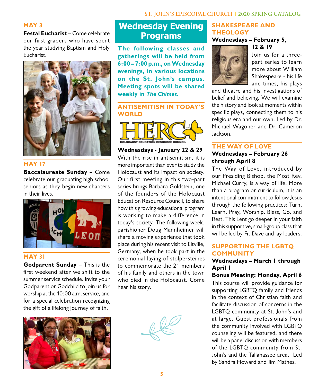### **MAY 3**

**Festal Eucharist** – Come celebrate our first graders who have spent the year studying Baptism and Holy Eucharist.



#### **MAY 17**

**Baccalaureate Sunday** – Come celebrate our graduating high school seniors as they begin new chapters in their lives.



#### **MAY 31**

**Godparent Sunday** – This is the first weekend after we shift to the summer service schedule. Invite your Godparent or Godchild to join us for worship at the 10:00 a.m. service, and for a special celebration recognizing the gift of a lifelong journey of faith.



# **Wednesday Evening Programs**

**The following classes and gatherings will be held from 6:00 – 7:00 p.m., on Wednesday evenings, in various locations on the St. John's campus. Meeting spots will be shared weekly in The Chimes.** 

## **ANTISEMITISM IN TODAY'S WORLD**



#### **Wednesdays - January 22 & 29**

With the rise in antisemitism, it is more important than ever to study the Holocaust and its impact on society. Our first meeting in this two-part series brings Barbara Goldstein, one of the founders of the Holocaust Education Resource Council, to share how this growing educational program is working to make a difference in today's society. The following week, parishioner Doug Mannheimer will share a moving experience that took place during his recent visit to Eltville, Germany, when he took part in the ceremonial laying of stolpersteines to commemorate the 21 members of his family and others in the town who died in the Holocaust. Come hear his story.

## **SHAKESPEARE AND THEOLOGY Wednesdays – February 5,**

**12 & 19**



Join us for a threepart series to learn more about William Shakespeare - his life and times, his plays

and theatre and his investigations of belief and believing. We will examine the history and look at moments within specific plays, connecting them to his religious era and our own. Led by Dr. Michael Wagoner and Dr. Cameron Jackson.

### **THE WAY OF LOVE**

# **Wednesdays – February 26 through April 8**

The Way of Love, introduced by our Presiding Bishop, the Most Rev. Michael Curry, is a way of life. More than a program or curriculum, it is an intentional commitment to follow Jesus through the following practices: Turn, Learn, Pray, Worship, Bless, Go, and Rest. This Lent go deeper in your faith in this supportive, small-group class that will be led by Fr. Dave and lay leaders.

# **SUPPORTING THE LGBTQ COMMUNITY**

# **Wednesdays – March 1 through April 1**

# **Bonus Meeting: Monday, April 6**

This course will provide guidance for supporting LGBTQ family and friends in the context of Christian faith and facilitate discussion of concerns in the LGBTQ community at St. John's and at large. Guest professionals from the community involved with LGBTQ counseling will be featured, and there will be a panel discussion with members of the LGBTQ community from St. John's and the Tallahassee area. Led by Sandra Howard and Jim Mathes.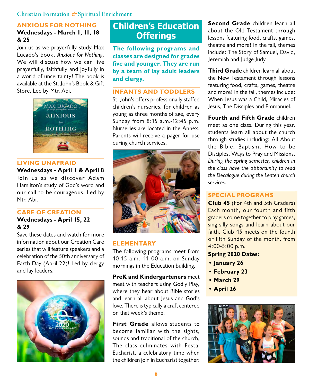#### **ANXIOUS FOR NOTHING Wednesdays - March 1, 11, 18 & 25**

Join us as we prayerfully study Max Lucado's book, Anxious for Nothing. We will discuss how we can live prayerfully, faithfully and joyfully in a world of uncertainty! The book is available at the St. John's Book & Gift Store. Led by Mtr. Abi.



### **LIVING UNAFRAID**

**Wednesdays - April 1 & April 8**

Join us as we discover Adam Hamilton's study of God's word and our call to be courageous. Led by Mtr. Abi.

#### **CARE OF CREATION**

**Wednesdays - April 15, 22 & 29**

Save these dates and watch for more information about our Creation Care series that will feature speakers and a celebration of the 50th anniversary of Earth Day (April 22)! Led by clergy and lay leaders.



# **Children's Education Offerings**

**The following programs and classes are designed for grades five and younger. They are run by a team of lay adult leaders and clergy.** 

#### **INFANTS AND TODDLERS**

St. John's offers professionally staffed children's nurseries, for children as young as three months of age, every Sunday from 8:15 a.m.-12:45 p.m. Nurseries are located in the Annex. Parents will receive a pager for use during church services.



#### **ELEMENTARY**

The following programs meet from 10:15 a.m.–11:00 a.m. on Sunday mornings in the Education building.

**PreK and Kindergarteners** meet meet with teachers using Godly Play, where they hear about Bible stories and learn all about Jesus and God's love. There is typically a craft centered on that week's theme.

**First Grade** allows students to become familiar with the sights, sounds and traditional of the church, The class culminates with Festal Eucharist, a celebratory time when the children join in Eucharist together.

**Second Grade** children learn all about the Old Testament through lessons featuring food, crafts, games, theatre and more! In the fall, themes include: The Story of Samuel, David, Jeremiah and Judge Judy.

**Third Grade** children learn all about the New Testament through lessons featuring food, crafts, games, theatre and more! In the fall, themes include: When Jesus was a Child, Miracles of Jesus, The Disciples and Emmanuel.

**Fourth and Fifth Grade** children meet as one class. During this year, students learn all about the church through studies including: All About the Bible, Baptism, How to be Disciples, Ways to Pray and Missions. During the spring semester, children in the class have the opportunity to read the Decalogue during the Lenten church services.

#### **SPECIAL PROGRAMS**

**Club 45** (For 4th and 5th Graders) Each month, our fourth and fifth graders come together to play games, sing silly songs and learn about our faith. Club 45 meets on the fourth or fifth Sunday of the month, from 4:00-5:00 p.m.

- **Spring 2020 Dates:**
- **• January 26**
- **• February 23**
- **• March 29**
- **• April 26**

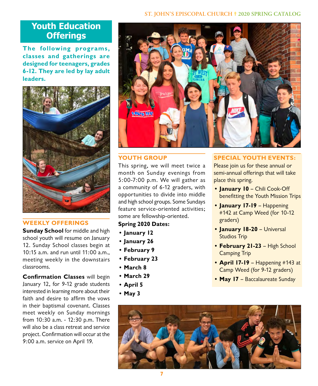#### **ST. JOHN'S EPISCOPAL CHURCH 2020 SPRING CATALOG**

# **Youth Education Offerings**

**The following programs, classes and gatherings are designed for teenagers, grades 6-12. They are led by lay adult leaders.** 



# **WEEKLY OFFERINGS**

**Sunday School** for middle and high school youth will resume on January 12. Sunday School classes begin at 10:15 a.m. and run until 11:00 a.m., meeting weekly in the downstairs classrooms.

**Confirmation Classes** will begin January 12, for 9-12 grade students interested in learning more about their faith and desire to affirm the vows in their baptismal covenant. Classes meet weekly on Sunday mornings from 10:30 a.m. - 12:30 p.m. There will also be a class retreat and service project. Confirmation will occur at the 9:00 a.m. service on April 19.



#### **YOUTH GROUP**

This spring, we will meet twice a month on Sunday evenings from 5:00-7:00 p.m. We will gather as a community of 6-12 graders, with opportunities to divide into middle and high school groups. Some Sundays feature service-oriented activities; some are fellowship-oriented.

### **Spring 2020 Dates:**

- **• January 12**
- **• January 26**
- **• February 9**
- **• February 23**
- **• March 8**
- **• March 29**
- **• April 5**
- **• May 3**

#### **SPECIAL YOUTH EVENTS:**

Please join us for these annual or semi-annual offerings that will take place this spring.

- **• January 10** Chili Cook-Off benefitting the Youth Mission Trips
- **• January 17-19** Happening #142 at Camp Weed (for 10-12 graders)
- **• January 18-20** Universal Studios Trip
- **• February 21-23** High School Camping Trip
- **• April 17-19** Happening #143 at Camp Weed (for 9-12 graders)
- **• May 17**  Baccalaureate Sunday